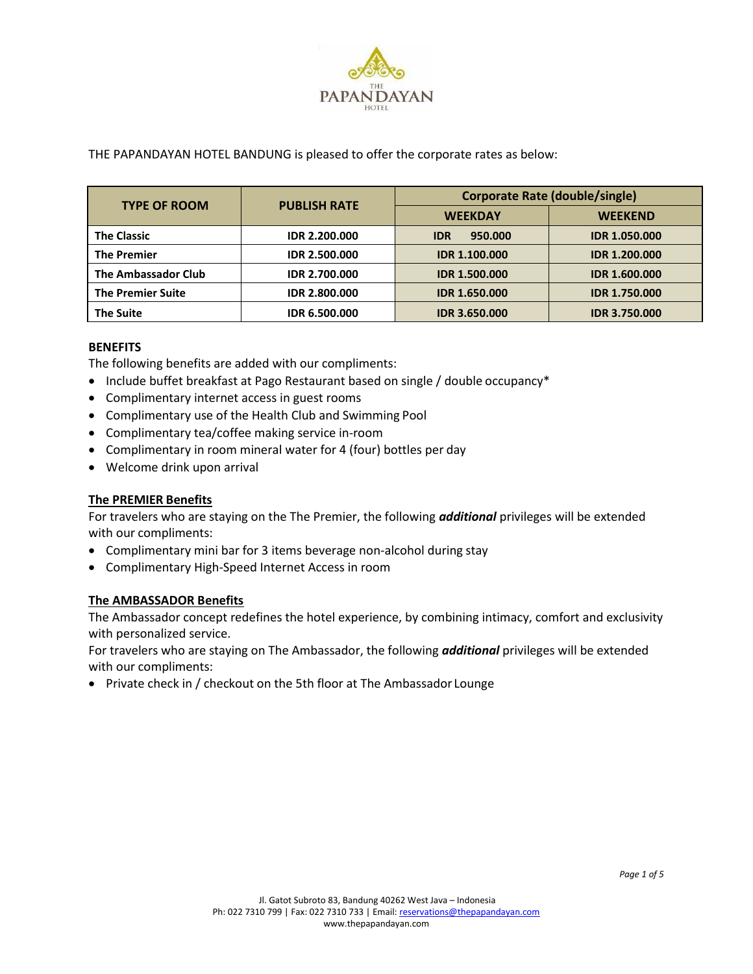

### THE PAPANDAYAN HOTEL BANDUNG is pleased to offer the corporate rates as below:

| <b>TYPE OF ROOM</b>      | <b>PUBLISH RATE</b>  | <b>Corporate Rate (double/single)</b> |                      |
|--------------------------|----------------------|---------------------------------------|----------------------|
|                          |                      | <b>WEEKDAY</b>                        | <b>WEEKEND</b>       |
| <b>The Classic</b>       | <b>IDR 2.200.000</b> | 950.000<br><b>IDR</b>                 | <b>IDR 1.050.000</b> |
| <b>The Premier</b>       | <b>IDR 2.500.000</b> | <b>IDR 1.100.000</b>                  | <b>IDR 1.200.000</b> |
| The Ambassador Club      | <b>IDR 2.700.000</b> | <b>IDR 1.500.000</b>                  | <b>IDR 1.600.000</b> |
| <b>The Premier Suite</b> | <b>IDR 2.800.000</b> | <b>IDR 1.650.000</b>                  | <b>IDR 1.750.000</b> |
| <b>The Suite</b>         | <b>IDR 6.500.000</b> | <b>IDR 3.650.000</b>                  | <b>IDR 3.750.000</b> |

### **BENEFITS**

The following benefits are added with our compliments:

- Include buffet breakfast at Pago Restaurant based on single / double occupancy\*
- Complimentary internet access in guest rooms
- Complimentary use of the Health Club and Swimming Pool
- Complimentary tea/coffee making service in-room
- Complimentary in room mineral water for 4 (four) bottles per day
- Welcome drink upon arrival

### **The PREMIER Benefits**

For travelers who are staying on the The Premier, the following *additional* privileges will be extended with our compliments:

- Complimentary mini bar for 3 items beverage non-alcohol during stay
- Complimentary High-Speed Internet Access in room

### **The AMBASSADOR Benefits**

The Ambassador concept redefines the hotel experience, by combining intimacy, comfort and exclusivity with personalized service.

For travelers who are staying on The Ambassador, the following *additional* privileges will be extended with our compliments:

• Private check in / checkout on the 5th floor at The Ambassador Lounge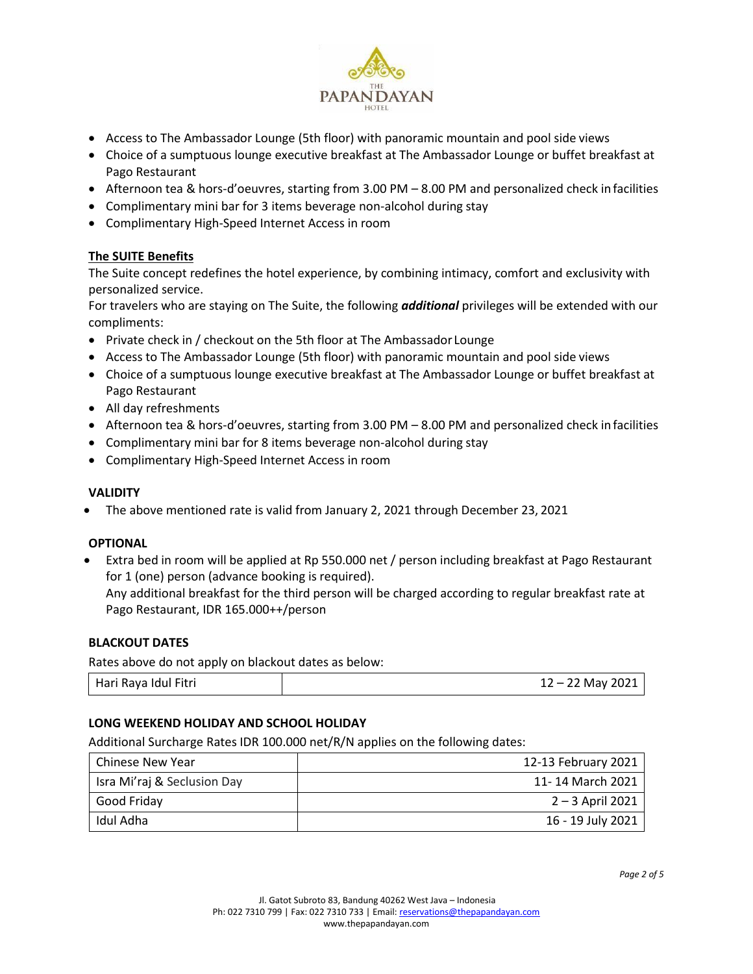

- Access to The Ambassador Lounge (5th floor) with panoramic mountain and pool side views
- Choice of a sumptuous lounge executive breakfast at The Ambassador Lounge or buffet breakfast at Pago Restaurant
- Afternoon tea & hors-d'oeuvres, starting from 3.00 PM 8.00 PM and personalized check in facilities
- Complimentary mini bar for 3 items beverage non-alcohol during stay
- Complimentary High-Speed Internet Access in room

# **The SUITE Benefits**

The Suite concept redefines the hotel experience, by combining intimacy, comfort and exclusivity with personalized service.

For travelers who are staying on The Suite, the following *additional* privileges will be extended with our compliments:

- Private check in / checkout on the 5th floor at The Ambassador Lounge
- Access to The Ambassador Lounge (5th floor) with panoramic mountain and pool side views
- Choice of a sumptuous lounge executive breakfast at The Ambassador Lounge or buffet breakfast at Pago Restaurant
- All day refreshments
- Afternoon tea & hors-d'oeuvres, starting from 3.00 PM 8.00 PM and personalized check infacilities
- Complimentary mini bar for 8 items beverage non-alcohol during stay
- Complimentary High-Speed Internet Access in room

### **VALIDITY**

• The above mentioned rate is valid from January 2, 2021 through December 23, 2021

### **OPTIONAL**

• Extra bed in room will be applied at Rp 550.000 net / person including breakfast at Pago Restaurant for 1 (one) person (advance booking is required). Any additional breakfast for the third person will be charged according to regular breakfast rate at

### **BLACKOUT DATES**

Rates above do not apply on blackout dates as below:

Pago Restaurant, IDR 165.000++/person

## **LONG WEEKEND HOLIDAY AND SCHOOL HOLIDAY**

Additional Surcharge Rates IDR 100.000 net/R/N applies on the following dates:

| Chinese New Year            | 12-13 February 2021 |
|-----------------------------|---------------------|
| Isra Mi'raj & Seclusion Day | 11-14 March 2021    |
| Good Friday                 | $2 - 3$ April 2021  |
| Idul Adha                   | 16 - 19 July 2021   |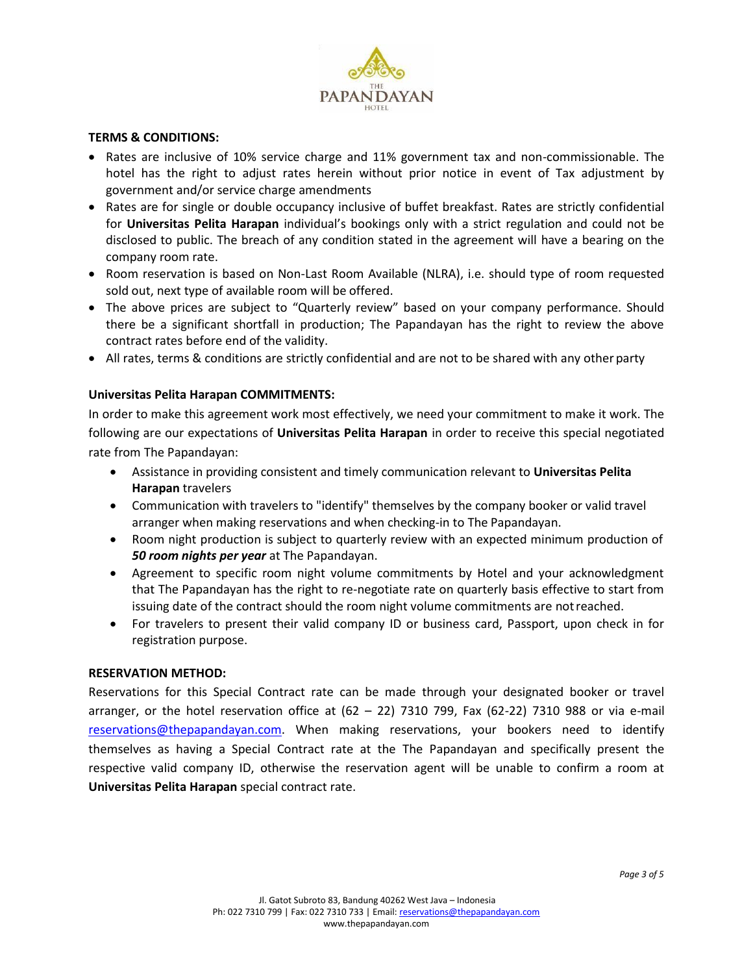

### **TERMS & CONDITIONS:**

- Rates are inclusive of 10% service charge and 11% government tax and non-commissionable. The hotel has the right to adjust rates herein without prior notice in event of Tax adjustment by government and/or service charge amendments
- Rates are for single or double occupancy inclusive of buffet breakfast. Rates are strictly confidential for **Universitas Pelita Harapan** individual's bookings only with a strict regulation and could not be disclosed to public. The breach of any condition stated in the agreement will have a bearing on the company room rate.
- Room reservation is based on Non-Last Room Available (NLRA), i.e. should type of room requested sold out, next type of available room will be offered.
- The above prices are subject to "Quarterly review" based on your company performance. Should there be a significant shortfall in production; The Papandayan has the right to review the above contract rates before end of the validity.
- All rates, terms & conditions are strictly confidential and are not to be shared with any other party

## **Universitas Pelita Harapan COMMITMENTS:**

In order to make this agreement work most effectively, we need your commitment to make it work. The following are our expectations of **Universitas Pelita Harapan** in order to receive this special negotiated rate from The Papandayan:

- Assistance in providing consistent and timely communication relevant to **Universitas Pelita Harapan** travelers
- Communication with travelers to "identify" themselves by the company booker or valid travel arranger when making reservations and when checking-in to The Papandayan.
- Room night production is subject to quarterly review with an expected minimum production of *50 room nights per year* at The Papandayan.
- Agreement to specific room night volume commitments by Hotel and your acknowledgment that The Papandayan has the right to re-negotiate rate on quarterly basis effective to start from issuing date of the contract should the room night volume commitments are notreached.
- For travelers to present their valid company ID or business card, Passport, upon check in for registration purpose.

### **RESERVATION METHOD:**

Reservations for this Special Contract rate can be made through your designated booker or travel arranger, or the hotel reservation office at  $(62 - 22)$  7310 799, Fax  $(62-22)$  7310 988 or via e-mail [reservations@thepapandayan.com.](mailto:reservations@thepapandayan.com) When making reservations, your bookers need to identify themselves as having a Special Contract rate at the The Papandayan and specifically present the respective valid company ID, otherwise the reservation agent will be unable to confirm a room at **Universitas Pelita Harapan** special contract rate.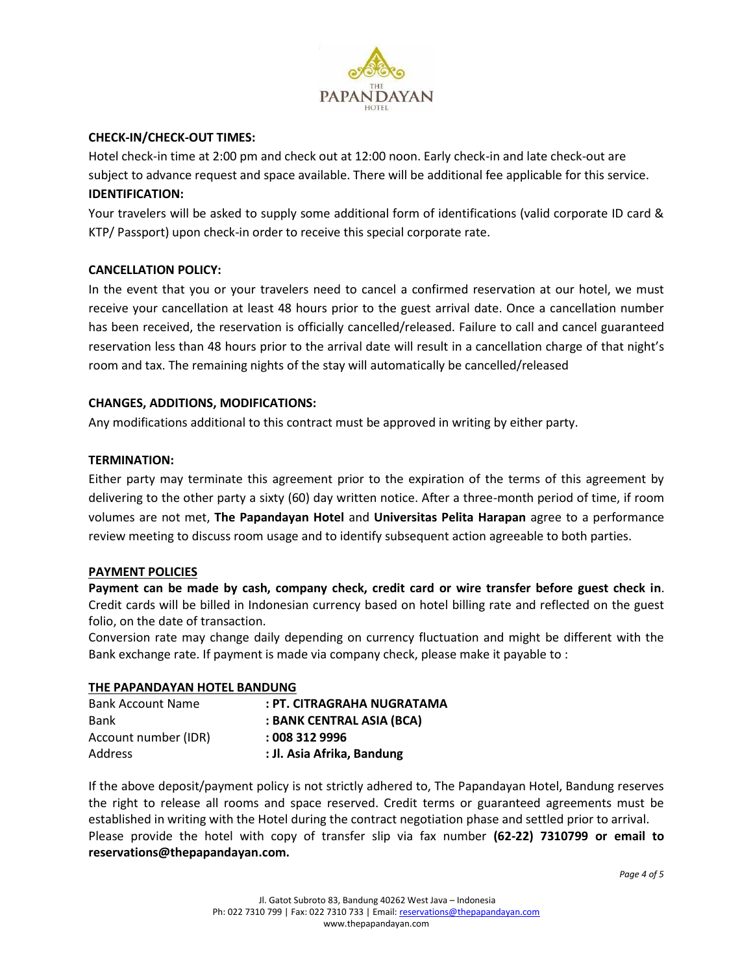

# **CHECK-IN/CHECK-OUT TIMES:**

Hotel check-in time at 2:00 pm and check out at 12:00 noon. Early check-in and late check-out are subject to advance request and space available. There will be additional fee applicable for this service. **IDENTIFICATION:**

Your travelers will be asked to supply some additional form of identifications (valid corporate ID card & KTP/ Passport) upon check-in order to receive this special corporate rate.

## **CANCELLATION POLICY:**

In the event that you or your travelers need to cancel a confirmed reservation at our hotel, we must receive your cancellation at least 48 hours prior to the guest arrival date. Once a cancellation number has been received, the reservation is officially cancelled/released. Failure to call and cancel guaranteed reservation less than 48 hours prior to the arrival date will result in a cancellation charge of that night's room and tax. The remaining nights of the stay will automatically be cancelled/released

### **CHANGES, ADDITIONS, MODIFICATIONS:**

Any modifications additional to this contract must be approved in writing by either party.

### **TERMINATION:**

Either party may terminate this agreement prior to the expiration of the terms of this agreement by delivering to the other party a sixty (60) day written notice. After a three-month period of time, if room volumes are not met, **The Papandayan Hotel** and **Universitas Pelita Harapan** agree to a performance review meeting to discuss room usage and to identify subsequent action agreeable to both parties.

### **PAYMENT POLICIES**

**Payment can be made by cash, company check, credit card or wire transfer before guest check in**. Credit cards will be billed in Indonesian currency based on hotel billing rate and reflected on the guest folio, on the date of transaction.

Conversion rate may change daily depending on currency fluctuation and might be different with the Bank exchange rate. If payment is made via company check, please make it payable to :

### **THE PAPANDAYAN HOTEL BANDUNG**

| <b>Bank Account Name</b> | : PT. CITRAGRAHA NUGRATAMA |
|--------------------------|----------------------------|
| Bank                     | : BANK CENTRAL ASIA (BCA)  |
| Account number (IDR)     | : 0083129996               |
| <b>Address</b>           | : Jl. Asia Afrika, Bandung |

If the above deposit/payment policy is not strictly adhered to, The Papandayan Hotel, Bandung reserves the right to release all rooms and space reserved. Credit terms or guaranteed agreements must be established in writing with the Hotel during the contract negotiation phase and settled prior to arrival. Please provide the hotel with copy of transfer slip via fax number **(62-22) 7310799 or email t[o](mailto:reservations@thepapandayan.com) [reservations@thepapandayan.com.](mailto:reservations@thepapandayan.com)**